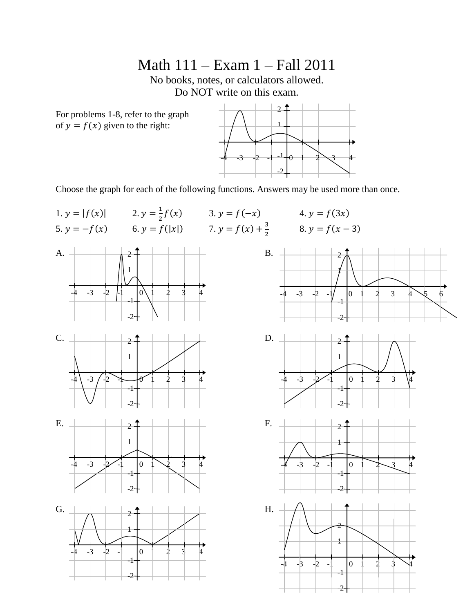Math 111 – Exam 1 – Fall 2011

No books, notes, or calculators allowed. Do NOT write on this exam.

For problems 1-8, refer to the graph of  $y = f(x)$  given to the right:



Choose the graph for each of the following functions. Answers may be used more than once.













-2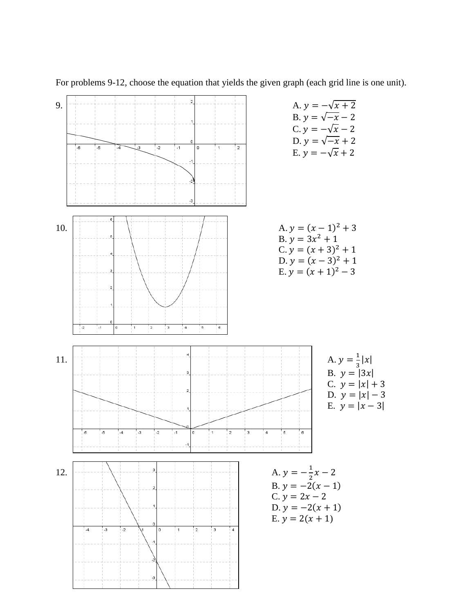

For problems 9-12, choose the equation that yields the given graph (each grid line is one unit).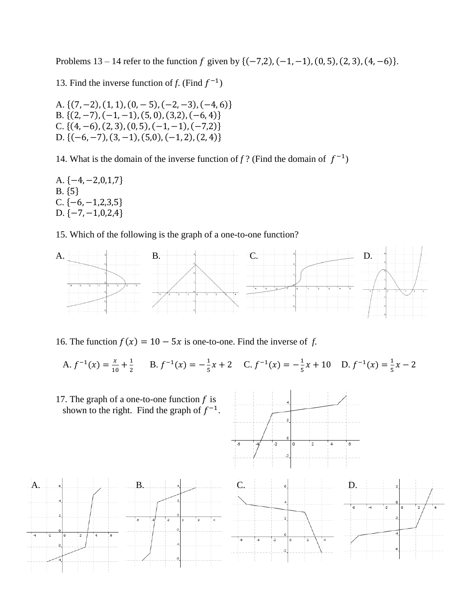Problems  $13 - 14$  refer to the function f given by  $\{(-7,2), (-1,-1), (0,5), (2,3), (4,-6)\}.$ 

13. Find the inverse function of *f*. (Find  $f^{-1}$ )

A.  $\{(7, -2), (1, 1), (0, -5), (-2, -3), (-4, 6)\}$ B.  $\{(2, -7), (-1, -1), (5, 0), (3, 2), (-6, 4)\}$ C.  $\{(4, -6), (2, 3), (0, 5), (-1, -1), (-7, 2)\}$ D.  $\{(-6, -7), (3, -1), (5, 0), (-1, 2), (2, 4)\}$ 

14. What is the domain of the inverse function of  $f$ ? (Find the domain of  $f^{-1}$ )

A.  $\{-4, -2, 0, 1, 7\}$  $B. \{5\}$ C.  $\{-6, -1, 2, 3, 5\}$  $D. \{-7, -1, 0, 2, 4\}$ 

15. Which of the following is the graph of a one-to-one function?



16. The function  $f(x) = 10 - 5x$  is one-to-one. Find the inverse of *f*.

A.  $f^{-1}(x) = \frac{x}{\sqrt{x}}$  $\frac{x}{10} + \frac{1}{2}$  $\frac{1}{2}$  B.  $f^{-1}(x) = -\frac{1}{5}$  $\frac{1}{5}x + 2$  C.  $f^{-1}(x) = -\frac{1}{5}$  $\frac{1}{5}x + 10$  D.  $f^{-1}(x) = \frac{1}{5}$  $\frac{1}{5}x$ 

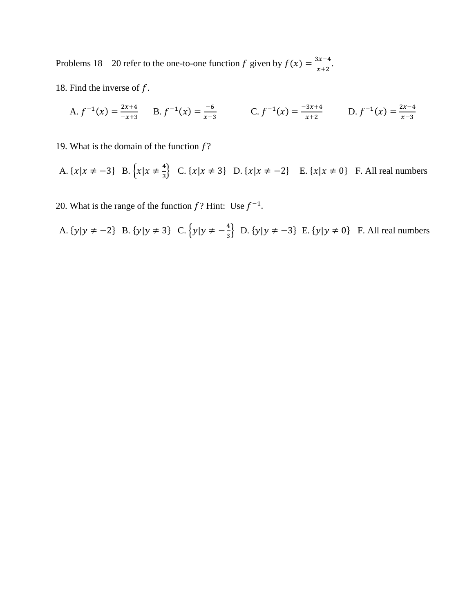Problems 18 – 20 refer to the one-to-one function f given by  $f(x) = \frac{3}{x}$  $\frac{x}{x+2}$ .

18. Find the inverse of  $f$ .

A. 
$$
f^{-1}(x) = \frac{2x+4}{-x+3}
$$
 B.  $f^{-1}(x) = \frac{-6}{x-3}$  C.  $f^{-1}(x) = \frac{-3x+4}{x+2}$  D.  $f^{-1}(x) = \frac{2x-4}{x-3}$ 

19. What is the domain of the function  $f$ ?

A. 
$$
\{x | x \neq -3\}
$$
 B.  $\{x | x \neq \frac{4}{3}\}$  C.  $\{x | x \neq 3\}$  D.  $\{x | x \neq -2\}$  E.  $\{x | x \neq 0\}$  F. All real numbers

20. What is the range of the function  $f$ ? Hint: Use  $f^{-1}$ .

A. 
$$
\{y|y \neq -2\}
$$
 B.  $\{y|y \neq 3\}$  C.  $\{y|y \neq -\frac{4}{3}\}$  D.  $\{y|y \neq -3\}$  E.  $\{y|y \neq 0\}$  F. All real numbers